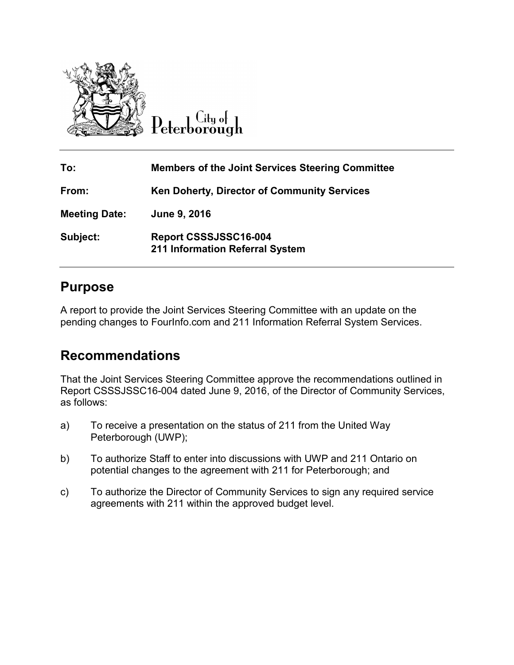

 $\overline{\mathrm{C}}$ ity of Peterborough

| To:                  | <b>Members of the Joint Services Steering Committee</b>  |
|----------------------|----------------------------------------------------------|
| From:                | <b>Ken Doherty, Director of Community Services</b>       |
| <b>Meeting Date:</b> | June 9, 2016                                             |
| Subject:             | Report CSSSJSSC16-004<br>211 Information Referral System |

### **Purpose**

A report to provide the Joint Services Steering Committee with an update on the pending changes to FourInfo.com and 211 Information Referral System Services.

# **Recommendations**

That the Joint Services Steering Committee approve the recommendations outlined in Report CSSSJSSC16-004 dated June 9, 2016, of the Director of Community Services, as follows:

- a) To receive a presentation on the status of 211 from the United Way Peterborough (UWP);
- b) To authorize Staff to enter into discussions with UWP and 211 Ontario on potential changes to the agreement with 211 for Peterborough; and
- c) To authorize the Director of Community Services to sign any required service agreements with 211 within the approved budget level.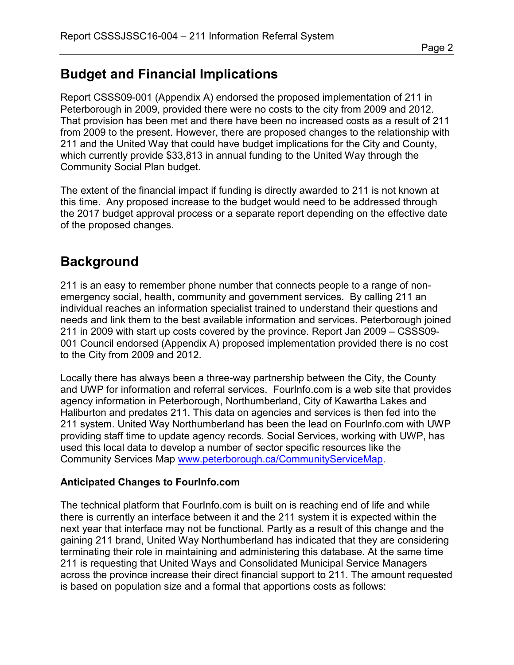# **Budget and Financial Implications**

Report CSSS09-001 (Appendix A) endorsed the proposed implementation of 211 in Peterborough in 2009, provided there were no costs to the city from 2009 and 2012. That provision has been met and there have been no increased costs as a result of 211 from 2009 to the present. However, there are proposed changes to the relationship with 211 and the United Way that could have budget implications for the City and County, which currently provide \$33,813 in annual funding to the United Way through the Community Social Plan budget.

The extent of the financial impact if funding is directly awarded to 211 is not known at this time. Any proposed increase to the budget would need to be addressed through the 2017 budget approval process or a separate report depending on the effective date of the proposed changes.

### **Background**

211 is an easy to remember phone number that connects people to a range of nonemergency social, health, community and government services. By calling 211 an individual reaches an information specialist trained to understand their questions and needs and link them to the best available information and services. Peterborough joined 211 in 2009 with start up costs covered by the province. Report Jan 2009 – CSSS09- 001 Council endorsed (Appendix A) proposed implementation provided there is no cost to the City from 2009 and 2012.

Locally there has always been a three-way partnership between the City, the County and UWP for information and referral services. FourInfo.com is a web site that provides agency information in Peterborough, Northumberland, City of Kawartha Lakes and Haliburton and predates 211. This data on agencies and services is then fed into the 211 system. United Way Northumberland has been the lead on FourInfo.com with UWP providing staff time to update agency records. Social Services, working with UWP, has used this local data to develop a number of sector specific resources like the Community Services Map [www.peterborough.ca/CommunityServiceMap.](http://www.peterborough.ca/CommunityServiceMap)

### **Anticipated Changes to FourInfo.com**

The technical platform that FourInfo.com is built on is reaching end of life and while there is currently an interface between it and the 211 system it is expected within the next year that interface may not be functional. Partly as a result of this change and the gaining 211 brand, United Way Northumberland has indicated that they are considering terminating their role in maintaining and administering this database. At the same time 211 is requesting that United Ways and Consolidated Municipal Service Managers across the province increase their direct financial support to 211. The amount requested is based on population size and a formal that apportions costs as follows: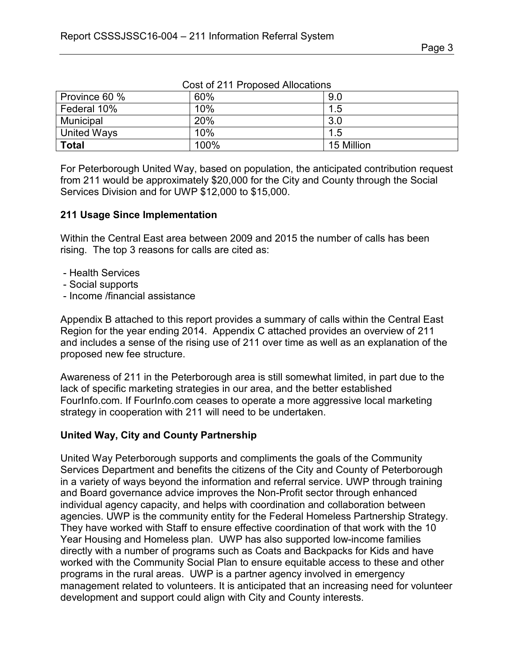| Province 60 % | 60%  | 9.0        |
|---------------|------|------------|
| Federal 10%   | 10%  | 1.5        |
| Municipal     | 20%  | 3.0        |
| United Ways   | 10%  | 1.5        |
| <b>Total</b>  | 100% | 15 Million |

Cost of 211 Proposed Allocations

For Peterborough United Way, based on population, the anticipated contribution request from 211 would be approximately \$20,000 for the City and County through the Social Services Division and for UWP \$12,000 to \$15,000.

#### **211 Usage Since Implementation**

Within the Central East area between 2009 and 2015 the number of calls has been rising. The top 3 reasons for calls are cited as:

- Health Services
- Social supports
- Income /financial assistance

Appendix B attached to this report provides a summary of calls within the Central East Region for the year ending 2014. Appendix C attached provides an overview of 211 and includes a sense of the rising use of 211 over time as well as an explanation of the proposed new fee structure.

Awareness of 211 in the Peterborough area is still somewhat limited, in part due to the lack of specific marketing strategies in our area, and the better established FourInfo.com. If FourInfo.com ceases to operate a more aggressive local marketing strategy in cooperation with 211 will need to be undertaken.

### **United Way, City and County Partnership**

United Way Peterborough supports and compliments the goals of the Community Services Department and benefits the citizens of the City and County of Peterborough in a variety of ways beyond the information and referral service. UWP through training and Board governance advice improves the Non-Profit sector through enhanced individual agency capacity, and helps with coordination and collaboration between agencies. UWP is the community entity for the Federal Homeless Partnership Strategy. They have worked with Staff to ensure effective coordination of that work with the 10 Year Housing and Homeless plan. UWP has also supported low-income families directly with a number of programs such as Coats and Backpacks for Kids and have worked with the Community Social Plan to ensure equitable access to these and other programs in the rural areas. UWP is a partner agency involved in emergency management related to volunteers. It is anticipated that an increasing need for volunteer development and support could align with City and County interests.